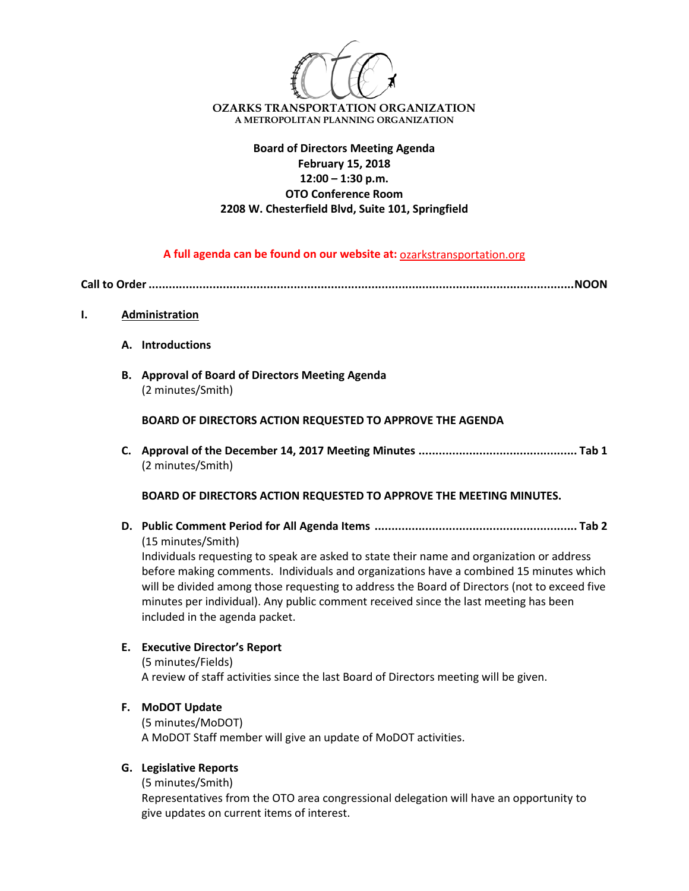

# **Board of Directors Meeting Agenda February 15, 2018 12:00 – 1:30 p.m. OTO Conference Room 2208 W. Chesterfield Blvd, Suite 101, Springfield**

### **A full agenda can be found on our website at:** ozarkstransportation.org

**Call to Order..............................................................................................................................NOON**

- **I. Administration**
	- **A. Introductions**
	- **B. Approval of Board of Directors Meeting Agenda** (2 minutes/Smith)

**BOARD OF DIRECTORS ACTION REQUESTED TO APPROVE THE AGENDA**

**C. Approval of the December 14, 2017 Meeting Minutes ............................................... Tab 1** (2 minutes/Smith)

**BOARD OF DIRECTORS ACTION REQUESTED TO APPROVE THE MEETING MINUTES.**

**D. Public Comment Period for All Agenda Items ............................................................ Tab 2** (15 minutes/Smith)

Individuals requesting to speak are asked to state their name and organization or address before making comments. Individuals and organizations have a combined 15 minutes which will be divided among those requesting to address the Board of Directors (not to exceed five minutes per individual). Any public comment received since the last meeting has been included in the agenda packet.

# **E. Executive Director's Report**

(5 minutes/Fields) A review of staff activities since the last Board of Directors meeting will be given.

### **F. MoDOT Update**

(5 minutes/MoDOT) A MoDOT Staff member will give an update of MoDOT activities.

# **G. Legislative Reports**

(5 minutes/Smith)

Representatives from the OTO area congressional delegation will have an opportunity to give updates on current items of interest.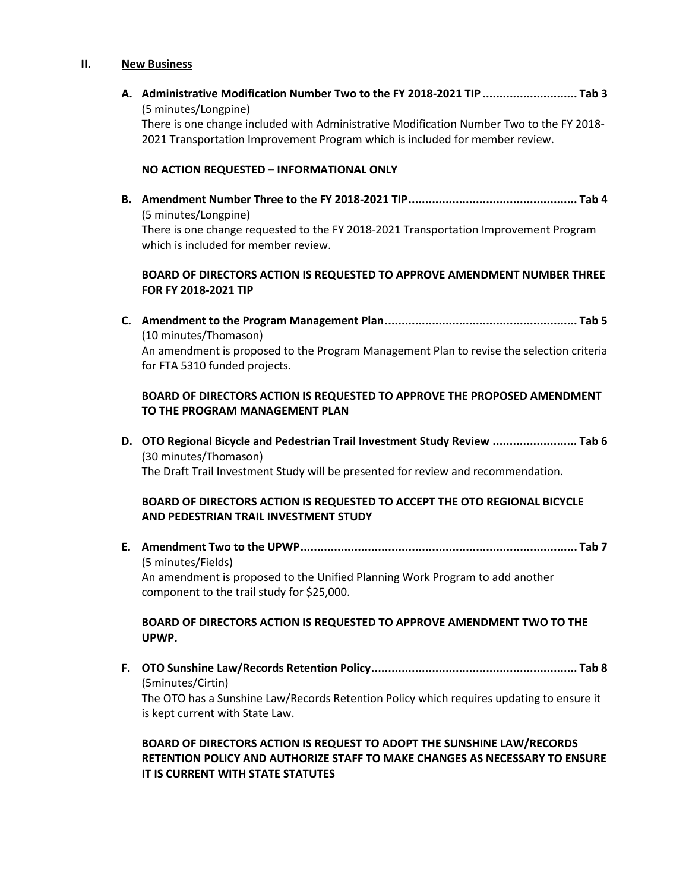#### **II. New Business**

**A. Administrative Modification Number Two to the FY 2018-2021 TIP ............................ Tab 3** (5 minutes/Longpine) There is one change included with Administrative Modification Number Two to the FY 2018- 2021 Transportation Improvement Program which is included for member review.

#### **NO ACTION REQUESTED – INFORMATIONAL ONLY**

**B. Amendment Number Three to the FY 2018-2021 TIP.................................................. Tab 4** (5 minutes/Longpine) There is one change requested to the FY 2018-2021 Transportation Improvement Program which is included for member review.

## **BOARD OF DIRECTORS ACTION IS REQUESTED TO APPROVE AMENDMENT NUMBER THREE FOR FY 2018-2021 TIP**

**C. Amendment to the Program Management Plan......................................................... Tab 5** (10 minutes/Thomason) An amendment is proposed to the Program Management Plan to revise the selection criteria for FTA 5310 funded projects.

## **BOARD OF DIRECTORS ACTION IS REQUESTED TO APPROVE THE PROPOSED AMENDMENT TO THE PROGRAM MANAGEMENT PLAN**

**D. OTO Regional Bicycle and Pedestrian Trail Investment Study Review ......................... Tab 6** (30 minutes/Thomason) The Draft Trail Investment Study will be presented for review and recommendation.

### **BOARD OF DIRECTORS ACTION IS REQUESTED TO ACCEPT THE OTO REGIONAL BICYCLE AND PEDESTRIAN TRAIL INVESTMENT STUDY**

**E. Amendment Two to the UPWP.................................................................................. Tab 7** (5 minutes/Fields) An amendment is proposed to the Unified Planning Work Program to add another component to the trail study for \$25,000.

#### **BOARD OF DIRECTORS ACTION IS REQUESTED TO APPROVE AMENDMENT TWO TO THE UPWP.**

**F. OTO Sunshine Law/Records Retention Policy............................................................. Tab 8** (5minutes/Cirtin) The OTO has a Sunshine Law/Records Retention Policy which requires updating to ensure it is kept current with State Law.

# **BOARD OF DIRECTORS ACTION IS REQUEST TO ADOPT THE SUNSHINE LAW/RECORDS RETENTION POLICY AND AUTHORIZE STAFF TO MAKE CHANGES AS NECESSARY TO ENSURE IT IS CURRENT WITH STATE STATUTES**